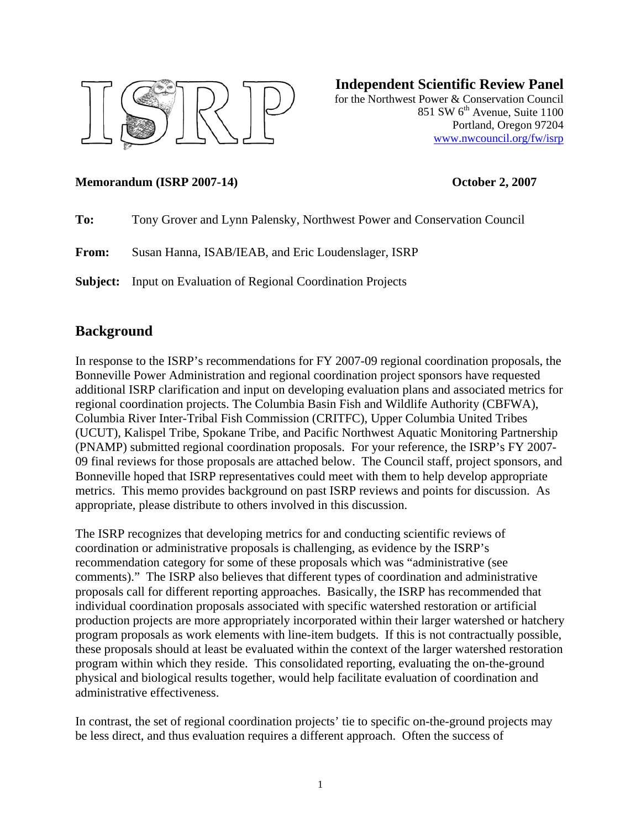

#### **Independent Scientific Review Panel**

for the Northwest Power & Conservation Council 851 SW  $6<sup>th</sup>$  Avenue, Suite 1100 Portland, Oregon 97204 [www.nwcouncil.org/fw/isrp](http://www.nwcouncil.org/fw/isrp)

#### **Memorandum (ISRP 2007-14) October 2, 2007**

| To: |  | Tony Grover and Lynn Palensky, Northwest Power and Conservation Council |  |
|-----|--|-------------------------------------------------------------------------|--|
|     |  |                                                                         |  |

**From:** Susan Hanna, ISAB/IEAB, and Eric Loudenslager, ISRP

**Subject:** Input on Evaluation of Regional Coordination Projects

### **Background**

In response to the ISRP's recommendations for FY 2007-09 regional coordination proposals, the Bonneville Power Administration and regional coordination project sponsors have requested additional ISRP clarification and input on developing evaluation plans and associated metrics for regional coordination projects. The Columbia Basin Fish and Wildlife Authority (CBFWA), Columbia River Inter-Tribal Fish Commission (CRITFC), Upper Columbia United Tribes (UCUT), Kalispel Tribe, Spokane Tribe, and Pacific Northwest Aquatic Monitoring Partnership (PNAMP) submitted regional coordination proposals. For your reference, the ISRP's FY 2007- 09 final reviews for those proposals are attached below. The Council staff, project sponsors, and Bonneville hoped that ISRP representatives could meet with them to help develop appropriate metrics. This memo provides background on past ISRP reviews and points for discussion. As appropriate, please distribute to others involved in this discussion.

The ISRP recognizes that developing metrics for and conducting scientific reviews of coordination or administrative proposals is challenging, as evidence by the ISRP's recommendation category for some of these proposals which was "administrative (see comments)." The ISRP also believes that different types of coordination and administrative proposals call for different reporting approaches. Basically, the ISRP has recommended that individual coordination proposals associated with specific watershed restoration or artificial production projects are more appropriately incorporated within their larger watershed or hatchery program proposals as work elements with line-item budgets. If this is not contractually possible, these proposals should at least be evaluated within the context of the larger watershed restoration program within which they reside. This consolidated reporting, evaluating the on-the-ground physical and biological results together, would help facilitate evaluation of coordination and administrative effectiveness.

In contrast, the set of regional coordination projects' tie to specific on-the-ground projects may be less direct, and thus evaluation requires a different approach. Often the success of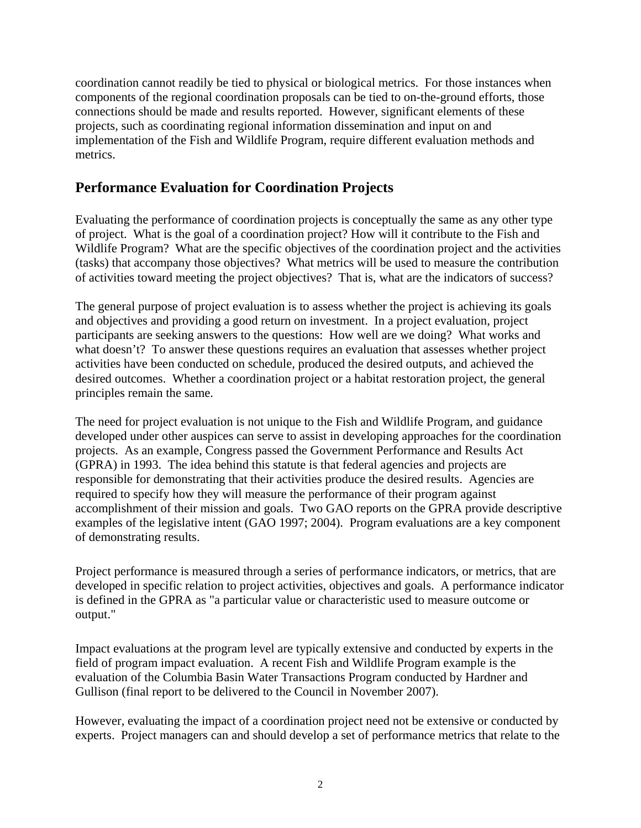coordination cannot readily be tied to physical or biological metrics. For those instances when components of the regional coordination proposals can be tied to on-the-ground efforts, those connections should be made and results reported. However, significant elements of these projects, such as coordinating regional information dissemination and input on and implementation of the Fish and Wildlife Program, require different evaluation methods and metrics.

#### **Performance Evaluation for Coordination Projects**

Evaluating the performance of coordination projects is conceptually the same as any other type of project. What is the goal of a coordination project? How will it contribute to the Fish and Wildlife Program? What are the specific objectives of the coordination project and the activities (tasks) that accompany those objectives? What metrics will be used to measure the contribution of activities toward meeting the project objectives? That is, what are the indicators of success?

The general purpose of project evaluation is to assess whether the project is achieving its goals and objectives and providing a good return on investment. In a project evaluation, project participants are seeking answers to the questions: How well are we doing? What works and what doesn't? To answer these questions requires an evaluation that assesses whether project activities have been conducted on schedule, produced the desired outputs, and achieved the desired outcomes. Whether a coordination project or a habitat restoration project, the general principles remain the same.

The need for project evaluation is not unique to the Fish and Wildlife Program, and guidance developed under other auspices can serve to assist in developing approaches for the coordination projects. As an example, Congress passed the Government Performance and Results Act (GPRA) in 1993. The idea behind this statute is that federal agencies and projects are responsible for demonstrating that their activities produce the desired results. Agencies are required to specify how they will measure the performance of their program against accomplishment of their mission and goals. Two GAO reports on the GPRA provide descriptive examples of the legislative intent (GAO 1997; 2004). Program evaluations are a key component of demonstrating results.

Project performance is measured through a series of performance indicators, or metrics, that are developed in specific relation to project activities, objectives and goals. A performance indicator is defined in the GPRA as "a particular value or characteristic used to measure outcome or output."

Impact evaluations at the program level are typically extensive and conducted by experts in the field of program impact evaluation. A recent Fish and Wildlife Program example is the evaluation of the Columbia Basin Water Transactions Program conducted by Hardner and Gullison (final report to be delivered to the Council in November 2007).

However, evaluating the impact of a coordination project need not be extensive or conducted by experts. Project managers can and should develop a set of performance metrics that relate to the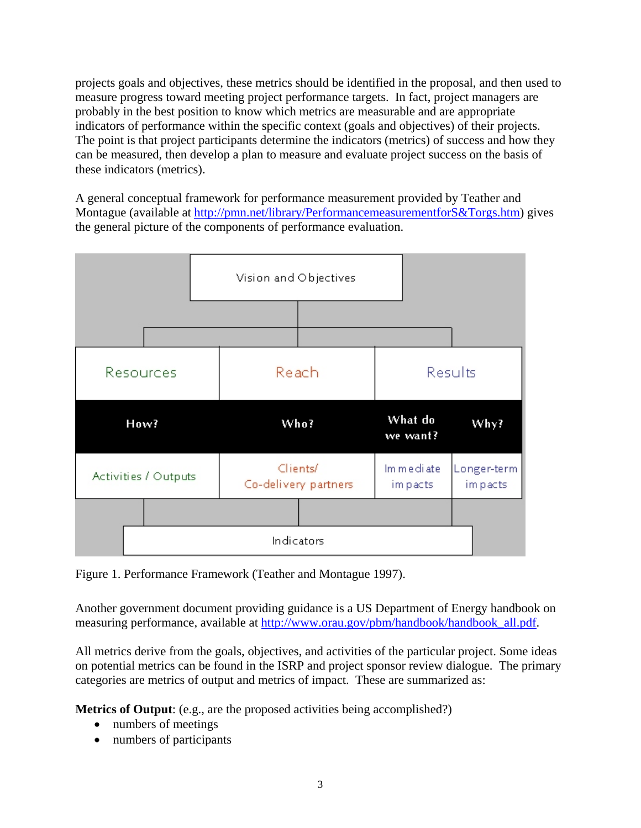projects goals and objectives, these metrics should be identified in the proposal, and then used to measure progress toward meeting project performance targets. In fact, project managers are probably in the best position to know which metrics are measurable and are appropriate indicators of performance within the specific context (goals and objectives) of their projects. The point is that project participants determine the indicators (metrics) of success and how they can be measured, then develop a plan to measure and evaluate project success on the basis of these indicators (metrics).

A general conceptual framework for performance measurement provided by Teather and Montague (available at [http://pmn.net/library/PerformancemeasurementforS&Torgs.htm\)](http://pmn.net/library/PerformancemeasurementforS&Torgs.htm) gives the general picture of the components of performance evaluation.



Figure 1. Performance Framework (Teather and Montague 1997).

Another government document providing guidance is a US Department of Energy handbook on measuring performance, available at [http://www.orau.gov/pbm/handbook/handbook\\_all.pdf.](http://www.orau.gov/pbm/handbook/handbook_all.pdf)

All metrics derive from the goals, objectives, and activities of the particular project. Some ideas on potential metrics can be found in the ISRP and project sponsor review dialogue. The primary categories are metrics of output and metrics of impact. These are summarized as:

**Metrics of Output**: (e.g., are the proposed activities being accomplished?)

- numbers of meetings
- numbers of participants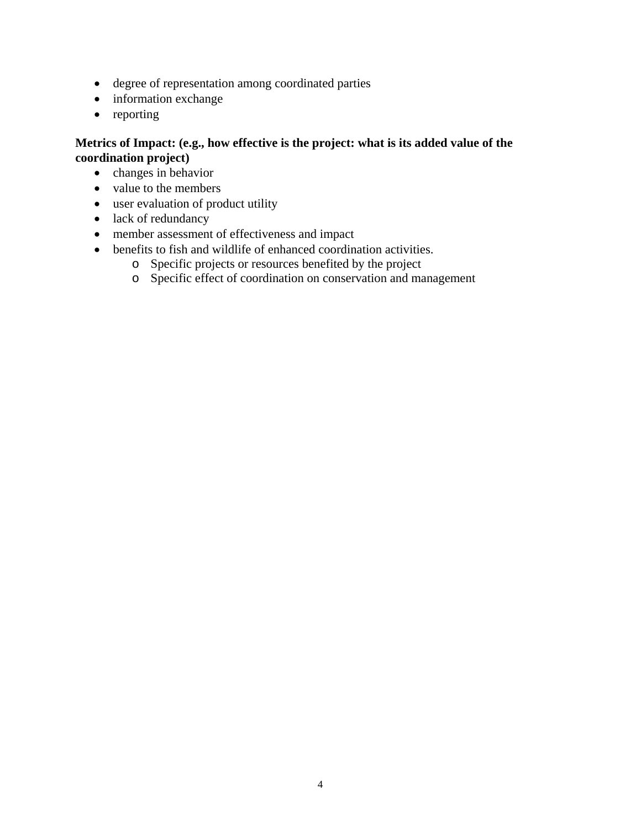- degree of representation among coordinated parties
- information exchange
- reporting

#### **Metrics of Impact: (e.g., how effective is the project: what is its added value of the coordination project)**

- changes in behavior
- value to the members
- user evaluation of product utility
- lack of redundancy
- member assessment of effectiveness and impact
- benefits to fish and wildlife of enhanced coordination activities.
	- o Specific projects or resources benefited by the project
	- o Specific effect of coordination on conservation and management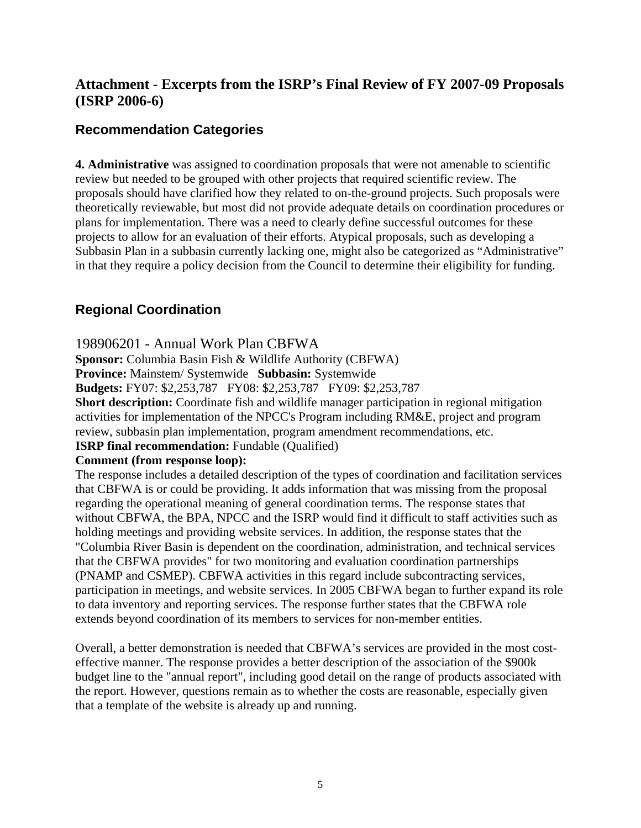# **Attachment - Excerpts from the ISRP's Final Review of FY 2007-09 Proposals (ISRP 2006-6)**

## **Recommendation Categories**

**4. Administrative** was assigned to coordination proposals that were not amenable to scientific review but needed to be grouped with other projects that required scientific review. The proposals should have clarified how they related to on-the-ground projects. Such proposals were theoretically reviewable, but most did not provide adequate details on coordination procedures or plans for implementation. There was a need to clearly define successful outcomes for these projects to allow for an evaluation of their efforts. Atypical proposals, such as developing a Subbasin Plan in a subbasin currently lacking one, might also be categorized as "Administrative" in that they require a policy decision from the Council to determine their eligibility for funding.

# **Regional Coordination**

#### 198906201 - Annual Work Plan CBFWA

**Sponsor:** Columbia Basin Fish & Wildlife Authority (CBFWA)

**Province:** Mainstem/ Systemwide **Subbasin:** Systemwide

**Budgets:** FY07: \$2,253,787 FY08: \$2,253,787 FY09: \$2,253,787

**Short description:** Coordinate fish and wildlife manager participation in regional mitigation activities for implementation of the NPCC's Program including RM&E, project and program review, subbasin plan implementation, program amendment recommendations, etc.

#### **ISRP final recommendation:** Fundable (Qualified)

#### **Comment (from response loop):**

The response includes a detailed description of the types of coordination and facilitation services that CBFWA is or could be providing. It adds information that was missing from the proposal regarding the operational meaning of general coordination terms. The response states that without CBFWA, the BPA, NPCC and the ISRP would find it difficult to staff activities such as holding meetings and providing website services. In addition, the response states that the "Columbia River Basin is dependent on the coordination, administration, and technical services that the CBFWA provides" for two monitoring and evaluation coordination partnerships (PNAMP and CSMEP). CBFWA activities in this regard include subcontracting services, participation in meetings, and website services. In 2005 CBFWA began to further expand its role to data inventory and reporting services. The response further states that the CBFWA role extends beyond coordination of its members to services for non-member entities.

Overall, a better demonstration is needed that CBFWA's services are provided in the most costeffective manner. The response provides a better description of the association of the \$900k budget line to the "annual report", including good detail on the range of products associated with the report. However, questions remain as to whether the costs are reasonable, especially given that a template of the website is already up and running.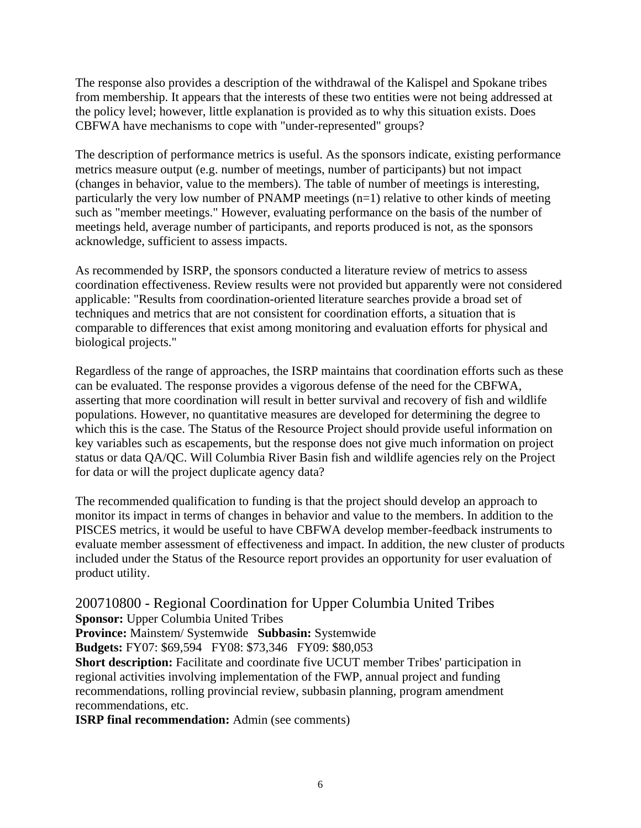The response also provides a description of the withdrawal of the Kalispel and Spokane tribes from membership. It appears that the interests of these two entities were not being addressed at the policy level; however, little explanation is provided as to why this situation exists. Does CBFWA have mechanisms to cope with "under-represented" groups?

The description of performance metrics is useful. As the sponsors indicate, existing performance metrics measure output (e.g. number of meetings, number of participants) but not impact (changes in behavior, value to the members). The table of number of meetings is interesting, particularly the very low number of PNAMP meetings (n=1) relative to other kinds of meeting such as "member meetings." However, evaluating performance on the basis of the number of meetings held, average number of participants, and reports produced is not, as the sponsors acknowledge, sufficient to assess impacts.

As recommended by ISRP, the sponsors conducted a literature review of metrics to assess coordination effectiveness. Review results were not provided but apparently were not considered applicable: "Results from coordination-oriented literature searches provide a broad set of techniques and metrics that are not consistent for coordination efforts, a situation that is comparable to differences that exist among monitoring and evaluation efforts for physical and biological projects."

Regardless of the range of approaches, the ISRP maintains that coordination efforts such as these can be evaluated. The response provides a vigorous defense of the need for the CBFWA, asserting that more coordination will result in better survival and recovery of fish and wildlife populations. However, no quantitative measures are developed for determining the degree to which this is the case. The Status of the Resource Project should provide useful information on key variables such as escapements, but the response does not give much information on project status or data QA/QC. Will Columbia River Basin fish and wildlife agencies rely on the Project for data or will the project duplicate agency data?

The recommended qualification to funding is that the project should develop an approach to monitor its impact in terms of changes in behavior and value to the members. In addition to the PISCES metrics, it would be useful to have CBFWA develop member-feedback instruments to evaluate member assessment of effectiveness and impact. In addition, the new cluster of products included under the Status of the Resource report provides an opportunity for user evaluation of product utility.

#### 200710800 - Regional Coordination for Upper Columbia United Tribes **Sponsor:** Upper Columbia United Tribes

**Province:** Mainstem/ Systemwide **Subbasin:** Systemwide

**Budgets:** FY07: \$69,594 FY08: \$73,346 FY09: \$80,053

**Short description:** Facilitate and coordinate five UCUT member Tribes' participation in regional activities involving implementation of the FWP, annual project and funding recommendations, rolling provincial review, subbasin planning, program amendment recommendations, etc.

**ISRP final recommendation:** Admin (see comments)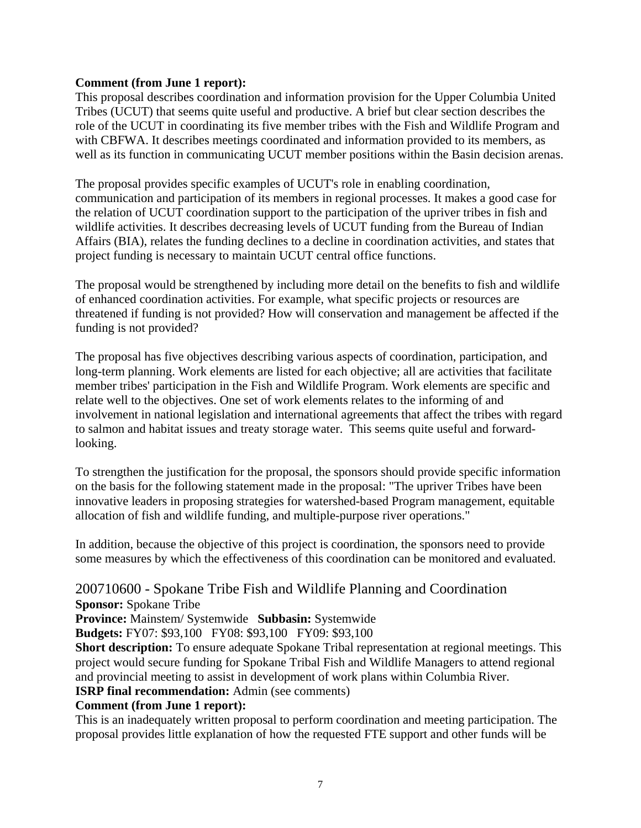#### **Comment (from June 1 report):**

This proposal describes coordination and information provision for the Upper Columbia United Tribes (UCUT) that seems quite useful and productive. A brief but clear section describes the role of the UCUT in coordinating its five member tribes with the Fish and Wildlife Program and with CBFWA. It describes meetings coordinated and information provided to its members, as well as its function in communicating UCUT member positions within the Basin decision arenas.

The proposal provides specific examples of UCUT's role in enabling coordination, communication and participation of its members in regional processes. It makes a good case for the relation of UCUT coordination support to the participation of the upriver tribes in fish and wildlife activities. It describes decreasing levels of UCUT funding from the Bureau of Indian Affairs (BIA), relates the funding declines to a decline in coordination activities, and states that project funding is necessary to maintain UCUT central office functions.

The proposal would be strengthened by including more detail on the benefits to fish and wildlife of enhanced coordination activities. For example, what specific projects or resources are threatened if funding is not provided? How will conservation and management be affected if the funding is not provided?

The proposal has five objectives describing various aspects of coordination, participation, and long-term planning. Work elements are listed for each objective; all are activities that facilitate member tribes' participation in the Fish and Wildlife Program. Work elements are specific and relate well to the objectives. One set of work elements relates to the informing of and involvement in national legislation and international agreements that affect the tribes with regard to salmon and habitat issues and treaty storage water. This seems quite useful and forwardlooking.

To strengthen the justification for the proposal, the sponsors should provide specific information on the basis for the following statement made in the proposal: "The upriver Tribes have been innovative leaders in proposing strategies for watershed-based Program management, equitable allocation of fish and wildlife funding, and multiple-purpose river operations."

In addition, because the objective of this project is coordination, the sponsors need to provide some measures by which the effectiveness of this coordination can be monitored and evaluated.

# 200710600 - Spokane Tribe Fish and Wildlife Planning and Coordination

**Sponsor:** Spokane Tribe

**Province:** Mainstem/ Systemwide **Subbasin:** Systemwide

**Budgets:** FY07: \$93,100 FY08: \$93,100 FY09: \$93,100

**Short description:** To ensure adequate Spokane Tribal representation at regional meetings. This project would secure funding for Spokane Tribal Fish and Wildlife Managers to attend regional and provincial meeting to assist in development of work plans within Columbia River.

**ISRP final recommendation:** Admin (see comments)

#### **Comment (from June 1 report):**

This is an inadequately written proposal to perform coordination and meeting participation. The proposal provides little explanation of how the requested FTE support and other funds will be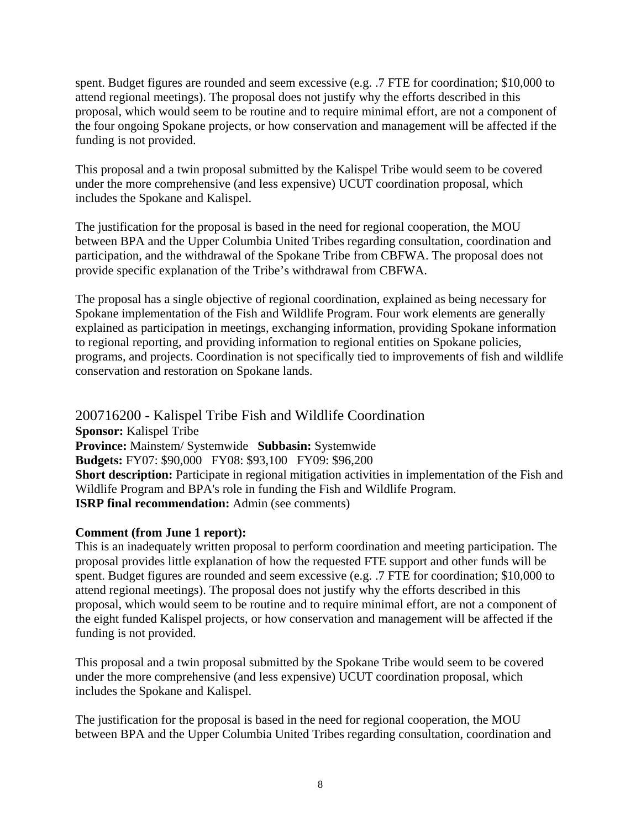spent. Budget figures are rounded and seem excessive (e.g. .7 FTE for coordination; \$10,000 to attend regional meetings). The proposal does not justify why the efforts described in this proposal, which would seem to be routine and to require minimal effort, are not a component of the four ongoing Spokane projects, or how conservation and management will be affected if the funding is not provided.

This proposal and a twin proposal submitted by the Kalispel Tribe would seem to be covered under the more comprehensive (and less expensive) UCUT coordination proposal, which includes the Spokane and Kalispel.

The justification for the proposal is based in the need for regional cooperation, the MOU between BPA and the Upper Columbia United Tribes regarding consultation, coordination and participation, and the withdrawal of the Spokane Tribe from CBFWA. The proposal does not provide specific explanation of the Tribe's withdrawal from CBFWA.

The proposal has a single objective of regional coordination, explained as being necessary for Spokane implementation of the Fish and Wildlife Program. Four work elements are generally explained as participation in meetings, exchanging information, providing Spokane information to regional reporting, and providing information to regional entities on Spokane policies, programs, and projects. Coordination is not specifically tied to improvements of fish and wildlife conservation and restoration on Spokane lands.

200716200 - Kalispel Tribe Fish and Wildlife Coordination **Sponsor:** Kalispel Tribe **Province:** Mainstem/ Systemwide **Subbasin:** Systemwide **Budgets:** FY07: \$90,000 FY08: \$93,100 FY09: \$96,200 **Short description:** Participate in regional mitigation activities in implementation of the Fish and Wildlife Program and BPA's role in funding the Fish and Wildlife Program. **ISRP final recommendation:** Admin (see comments)

#### **Comment (from June 1 report):**

This is an inadequately written proposal to perform coordination and meeting participation. The proposal provides little explanation of how the requested FTE support and other funds will be spent. Budget figures are rounded and seem excessive (e.g. .7 FTE for coordination; \$10,000 to attend regional meetings). The proposal does not justify why the efforts described in this proposal, which would seem to be routine and to require minimal effort, are not a component of the eight funded Kalispel projects, or how conservation and management will be affected if the funding is not provided.

This proposal and a twin proposal submitted by the Spokane Tribe would seem to be covered under the more comprehensive (and less expensive) UCUT coordination proposal, which includes the Spokane and Kalispel.

The justification for the proposal is based in the need for regional cooperation, the MOU between BPA and the Upper Columbia United Tribes regarding consultation, coordination and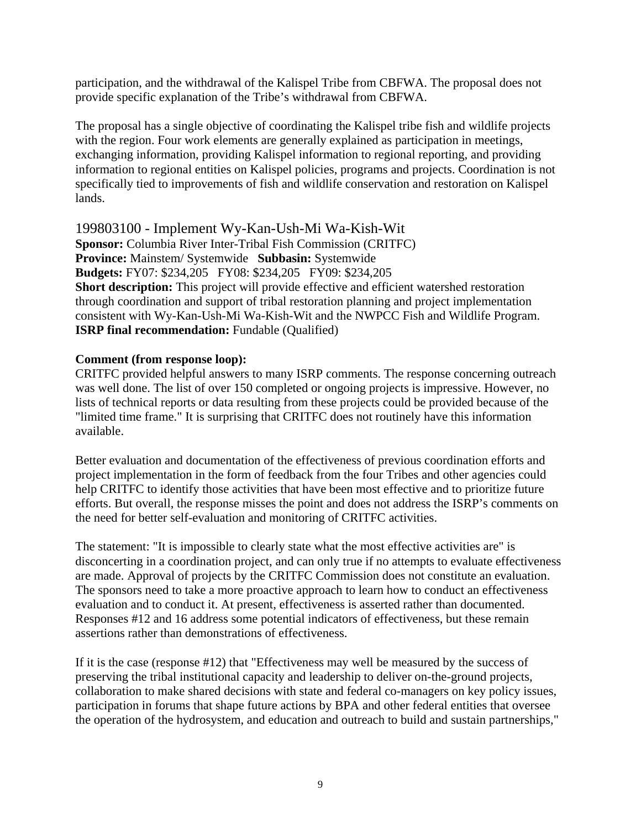participation, and the withdrawal of the Kalispel Tribe from CBFWA. The proposal does not provide specific explanation of the Tribe's withdrawal from CBFWA.

The proposal has a single objective of coordinating the Kalispel tribe fish and wildlife projects with the region. Four work elements are generally explained as participation in meetings, exchanging information, providing Kalispel information to regional reporting, and providing information to regional entities on Kalispel policies, programs and projects. Coordination is not specifically tied to improvements of fish and wildlife conservation and restoration on Kalispel lands.

199803100 - Implement Wy-Kan-Ush-Mi Wa-Kish-Wit **Sponsor:** Columbia River Inter-Tribal Fish Commission (CRITFC) **Province:** Mainstem/ Systemwide **Subbasin:** Systemwide **Budgets:** FY07: \$234,205 FY08: \$234,205 FY09: \$234,205 **Short description:** This project will provide effective and efficient watershed restoration through coordination and support of tribal restoration planning and project implementation consistent with Wy-Kan-Ush-Mi Wa-Kish-Wit and the NWPCC Fish and Wildlife Program. **ISRP final recommendation:** Fundable (Qualified)

#### **Comment (from response loop):**

CRITFC provided helpful answers to many ISRP comments. The response concerning outreach was well done. The list of over 150 completed or ongoing projects is impressive. However, no lists of technical reports or data resulting from these projects could be provided because of the "limited time frame." It is surprising that CRITFC does not routinely have this information available.

Better evaluation and documentation of the effectiveness of previous coordination efforts and project implementation in the form of feedback from the four Tribes and other agencies could help CRITFC to identify those activities that have been most effective and to prioritize future efforts. But overall, the response misses the point and does not address the ISRP's comments on the need for better self-evaluation and monitoring of CRITFC activities.

The statement: "It is impossible to clearly state what the most effective activities are" is disconcerting in a coordination project, and can only true if no attempts to evaluate effectiveness are made. Approval of projects by the CRITFC Commission does not constitute an evaluation. The sponsors need to take a more proactive approach to learn how to conduct an effectiveness evaluation and to conduct it. At present, effectiveness is asserted rather than documented. Responses #12 and 16 address some potential indicators of effectiveness, but these remain assertions rather than demonstrations of effectiveness.

If it is the case (response #12) that "Effectiveness may well be measured by the success of preserving the tribal institutional capacity and leadership to deliver on-the-ground projects, collaboration to make shared decisions with state and federal co-managers on key policy issues, participation in forums that shape future actions by BPA and other federal entities that oversee the operation of the hydrosystem, and education and outreach to build and sustain partnerships,"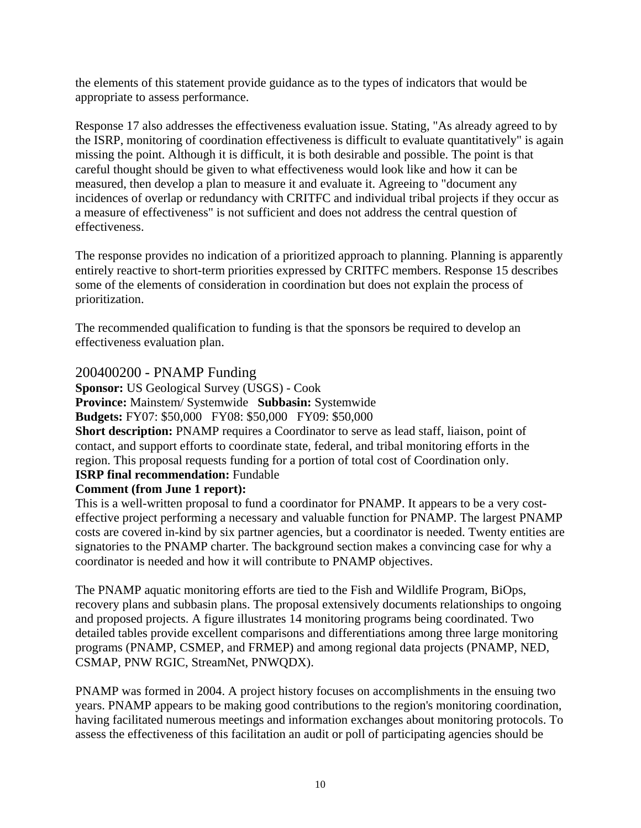the elements of this statement provide guidance as to the types of indicators that would be appropriate to assess performance.

Response 17 also addresses the effectiveness evaluation issue. Stating, "As already agreed to by the ISRP, monitoring of coordination effectiveness is difficult to evaluate quantitatively" is again missing the point. Although it is difficult, it is both desirable and possible. The point is that careful thought should be given to what effectiveness would look like and how it can be measured, then develop a plan to measure it and evaluate it. Agreeing to "document any incidences of overlap or redundancy with CRITFC and individual tribal projects if they occur as a measure of effectiveness" is not sufficient and does not address the central question of effectiveness.

The response provides no indication of a prioritized approach to planning. Planning is apparently entirely reactive to short-term priorities expressed by CRITFC members. Response 15 describes some of the elements of consideration in coordination but does not explain the process of prioritization.

The recommended qualification to funding is that the sponsors be required to develop an effectiveness evaluation plan.

#### 200400200 - PNAMP Funding

**Sponsor:** US Geological Survey (USGS) - Cook **Province:** Mainstem/ Systemwide **Subbasin:** Systemwide

**Budgets:** FY07: \$50,000 FY08: \$50,000 FY09: \$50,000

**Short description:** PNAMP requires a Coordinator to serve as lead staff, liaison, point of contact, and support efforts to coordinate state, federal, and tribal monitoring efforts in the region. This proposal requests funding for a portion of total cost of Coordination only.

#### **ISRP final recommendation:** Fundable

#### **Comment (from June 1 report):**

This is a well-written proposal to fund a coordinator for PNAMP. It appears to be a very costeffective project performing a necessary and valuable function for PNAMP. The largest PNAMP costs are covered in-kind by six partner agencies, but a coordinator is needed. Twenty entities are signatories to the PNAMP charter. The background section makes a convincing case for why a coordinator is needed and how it will contribute to PNAMP objectives.

The PNAMP aquatic monitoring efforts are tied to the Fish and Wildlife Program, BiOps, recovery plans and subbasin plans. The proposal extensively documents relationships to ongoing and proposed projects. A figure illustrates 14 monitoring programs being coordinated. Two detailed tables provide excellent comparisons and differentiations among three large monitoring programs (PNAMP, CSMEP, and FRMEP) and among regional data projects (PNAMP, NED, CSMAP, PNW RGIC, StreamNet, PNWQDX).

PNAMP was formed in 2004. A project history focuses on accomplishments in the ensuing two years. PNAMP appears to be making good contributions to the region's monitoring coordination, having facilitated numerous meetings and information exchanges about monitoring protocols. To assess the effectiveness of this facilitation an audit or poll of participating agencies should be